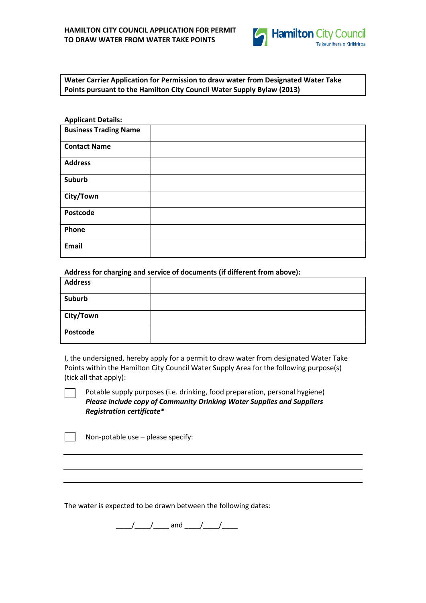

**Water Carrier Application for Permission to draw water from Designated Water Take Points pursuant to the Hamilton City Council Water Supply Bylaw (2013)**

| <b>Applicant Details:</b>    |  |
|------------------------------|--|
| <b>Business Trading Name</b> |  |
| <b>Contact Name</b>          |  |
| <b>Address</b>               |  |
| Suburb                       |  |
| City/Town                    |  |
| Postcode                     |  |
| Phone                        |  |
| <b>Email</b>                 |  |

**Address for charging and service of documents (if different from above):**

| <b>Address</b> |  |
|----------------|--|
| Suburb         |  |
| City/Town      |  |
| Postcode       |  |

I, the undersigned, hereby apply for a permit to draw water from designated Water Take Points within the Hamilton City Council Water Supply Area for the following purpose(s) (tick all that apply):

Potable supply purposes (i.e. drinking, food preparation, personal hygiene) *Please include copy of Community Drinking Water Supplies and Suppliers Registration certificate\**

Non-potable use – please specify:

The water is expected to be drawn between the following dates:

\_\_\_\_/\_\_\_\_/\_\_\_\_ and \_\_\_\_/\_\_\_\_/\_\_\_\_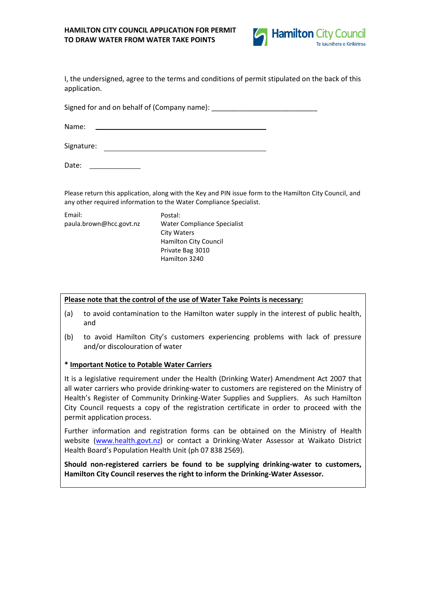# **HAMILTON CITY COUNCIL APPLICATION FOR PERMIT TO DRAW WATER FROM WATER TAKE POINTS**



I, the undersigned, agree to the terms and conditions of permit stipulated on the back of this application.

Signed for and on behalf of (Company name): \_\_\_\_\_\_\_\_\_\_\_\_\_\_\_\_\_\_\_\_\_\_\_\_\_\_\_

Name:

Signature:

Date:

Please return this application, along with the Key and PIN issue form to the Hamilton City Council, and any other required information to the Water Compliance Specialist.

| Email:                  | Postal:                      |
|-------------------------|------------------------------|
| paula.brown@hcc.govt.nz | Water Compliance Specialist  |
|                         | <b>City Waters</b>           |
|                         | <b>Hamilton City Council</b> |
|                         | Private Bag 3010             |
|                         | Hamilton 3240                |
|                         |                              |

## **Please note that the control of the use of Water Take Points is necessary:**

- (a) to avoid contamination to the Hamilton water supply in the interest of public health, and
- (b) to avoid Hamilton City's customers experiencing problems with lack of pressure and/or discolouration of water

# **\* Important Notice to Potable Water Carriers**

It is a legislative requirement under the Health (Drinking Water) Amendment Act 2007 that all water carriers who provide drinking-water to customers are registered on the Ministry of Health's Register of Community Drinking-Water Supplies and Suppliers. As such Hamilton City Council requests a copy of the registration certificate in order to proceed with the permit application process.

Further information and registration forms can be obtained on the Ministry of Health website [\(www.health.govt.nz\)](http://www.health.govt.nz/) or contact a Drinking-Water Assessor at Waikato District Health Board's Population Health Unit (ph 07 838 2569).

**Should non-registered carriers be found to be supplying drinking-water to customers, Hamilton City Council reserves the right to inform the Drinking-Water Assessor.**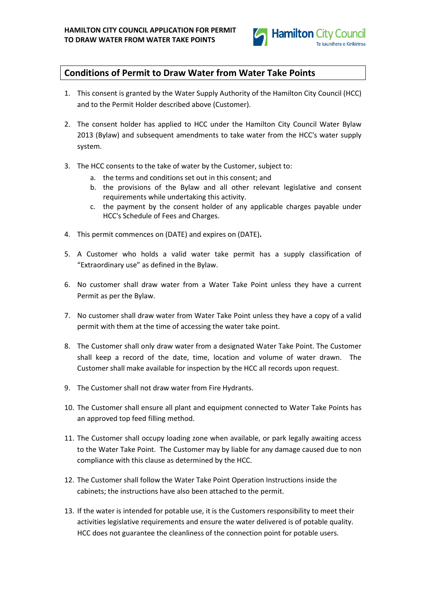

# **Conditions of Permit to Draw Water from Water Take Points**

- 1. This consent is granted by the Water Supply Authority of the Hamilton City Council (HCC) and to the Permit Holder described above (Customer).
- 2. The consent holder has applied to HCC under the Hamilton City Council Water Bylaw 2013 (Bylaw) and subsequent amendments to take water from the HCC's water supply system.
- 3. The HCC consents to the take of water by the Customer, subject to:
	- a. the terms and conditions set out in this consent; and
	- b. the provisions of the Bylaw and all other relevant legislative and consent requirements while undertaking this activity.
	- c. the payment by the consent holder of any applicable charges payable under HCC's Schedule of Fees and Charges.
- 4. This permit commences on (DATE) and expires on (DATE)**.**
- 5. A Customer who holds a valid water take permit has a supply classification of "Extraordinary use" as defined in the Bylaw.
- 6. No customer shall draw water from a Water Take Point unless they have a current Permit as per the Bylaw.
- 7. No customer shall draw water from Water Take Point unless they have a copy of a valid permit with them at the time of accessing the water take point.
- 8. The Customer shall only draw water from a designated Water Take Point. The Customer shall keep a record of the date, time, location and volume of water drawn. The Customer shall make available for inspection by the HCC all records upon request.
- 9. The Customer shall not draw water from Fire Hydrants.
- 10. The Customer shall ensure all plant and equipment connected to Water Take Points has an approved top feed filling method.
- 11. The Customer shall occupy loading zone when available, or park legally awaiting access to the Water Take Point. The Customer may by liable for any damage caused due to non compliance with this clause as determined by the HCC.
- 12. The Customer shall follow the Water Take Point Operation Instructions inside the cabinets; the instructions have also been attached to the permit.
- 13. If the water is intended for potable use, it is the Customers responsibility to meet their activities legislative requirements and ensure the water delivered is of potable quality. HCC does not guarantee the cleanliness of the connection point for potable users.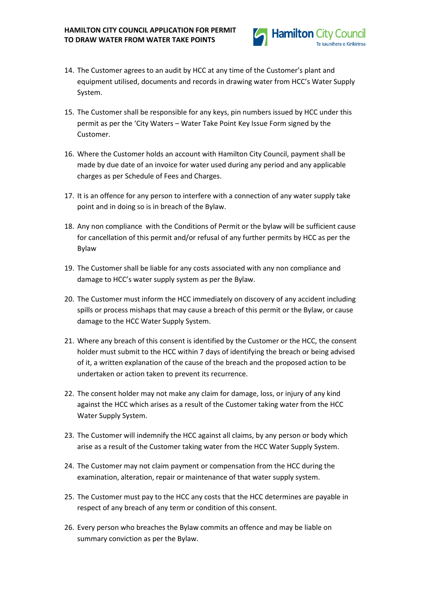

- 14. The Customer agrees to an audit by HCC at any time of the Customer's plant and equipment utilised, documents and records in drawing water from HCC's Water Supply System.
- 15. The Customer shall be responsible for any keys, pin numbers issued by HCC under this permit as per the 'City Waters – Water Take Point Key Issue Form signed by the Customer.
- 16. Where the Customer holds an account with Hamilton City Council, payment shall be made by due date of an invoice for water used during any period and any applicable charges as per Schedule of Fees and Charges.
- 17. It is an offence for any person to interfere with a connection of any water supply take point and in doing so is in breach of the Bylaw.
- 18. Any non compliance with the Conditions of Permit or the bylaw will be sufficient cause for cancellation of this permit and/or refusal of any further permits by HCC as per the Bylaw
- 19. The Customer shall be liable for any costs associated with any non compliance and damage to HCC's water supply system as per the Bylaw.
- 20. The Customer must inform the HCC immediately on discovery of any accident including spills or process mishaps that may cause a breach of this permit or the Bylaw, or cause damage to the HCC Water Supply System.
- 21. Where any breach of this consent is identified by the Customer or the HCC, the consent holder must submit to the HCC within 7 days of identifying the breach or being advised of it, a written explanation of the cause of the breach and the proposed action to be undertaken or action taken to prevent its recurrence.
- 22. The consent holder may not make any claim for damage, loss, or injury of any kind against the HCC which arises as a result of the Customer taking water from the HCC Water Supply System.
- 23. The Customer will indemnify the HCC against all claims, by any person or body which arise as a result of the Customer taking water from the HCC Water Supply System.
- 24. The Customer may not claim payment or compensation from the HCC during the examination, alteration, repair or maintenance of that water supply system.
- 25. The Customer must pay to the HCC any costs that the HCC determines are payable in respect of any breach of any term or condition of this consent.
- 26. Every person who breaches the Bylaw commits an offence and may be liable on summary conviction as per the Bylaw.